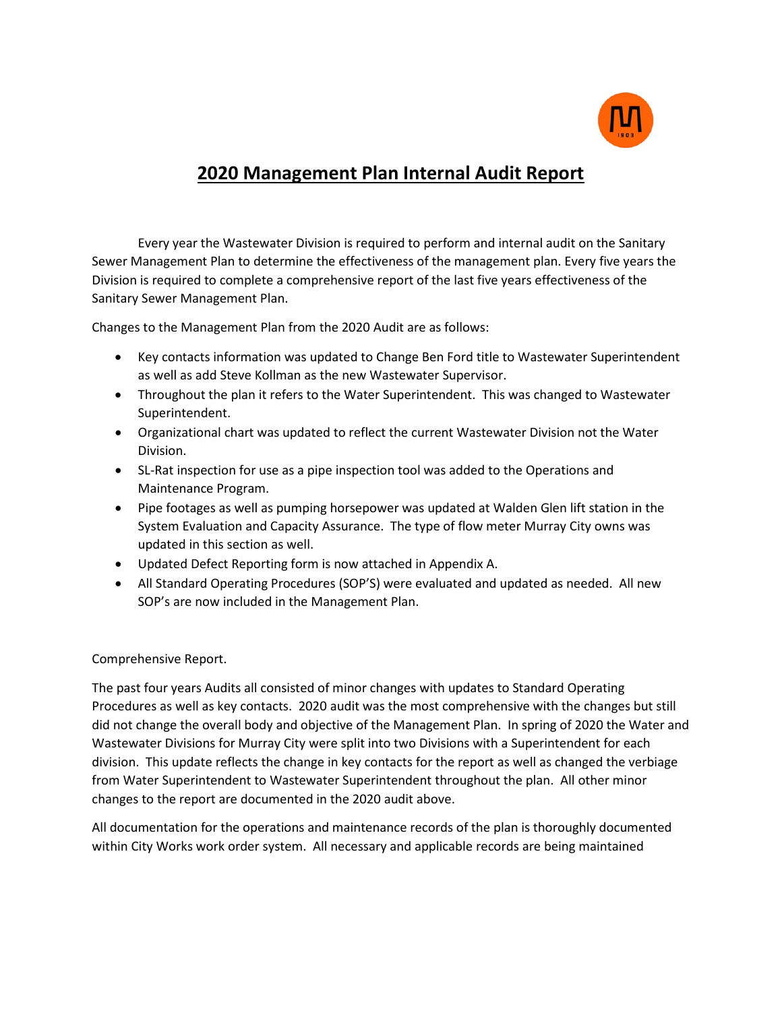

## **2020 Management Plan Internal Audit Report**

Every year the Wastewater Division is required to perform and internal audit on the Sanitary Sewer Management Plan to determine the effectiveness of the management plan. Every five years the Division is required to complete a comprehensive report of the last five years effectiveness of the Sanitary Sewer Management Plan.

Changes to the Management Plan from the 2020 Audit are as follows:

- Key contacts information was updated to Change Ben Ford title to Wastewater Superintendent as well as add Steve Kollman as the new Wastewater Supervisor.
- Throughout the plan it refers to the Water Superintendent. This was changed to Wastewater Superintendent.
- Organizational chart was updated to reflect the current Wastewater Division not the Water Division.
- SL-Rat inspection for use as a pipe inspection tool was added to the Operations and Maintenance Program.
- Pipe footages as well as pumping horsepower was updated at Walden Glen lift station in the System Evaluation and Capacity Assurance. The type of flow meter Murray City owns was updated in this section as well.
- Updated Defect Reporting form is now attached in Appendix A.
- All Standard Operating Procedures (SOP'S) were evaluated and updated as needed. All new SOP's are now included in the Management Plan.

Comprehensive Report.

The past four years Audits all consisted of minor changes with updates to Standard Operating Procedures as well as key contacts. 2020 audit was the most comprehensive with the changes but still did not change the overall body and objective of the Management Plan. In spring of 2020 the Water and Wastewater Divisions for Murray City were split into two Divisions with a Superintendent for each division. This update reflects the change in key contacts for the report as well as changed the verbiage from Water Superintendent to Wastewater Superintendent throughout the plan. All other minor changes to the report are documented in the 2020 audit above.

All documentation for the operations and maintenance records of the plan is thoroughly documented within City Works work order system. All necessary and applicable records are being maintained